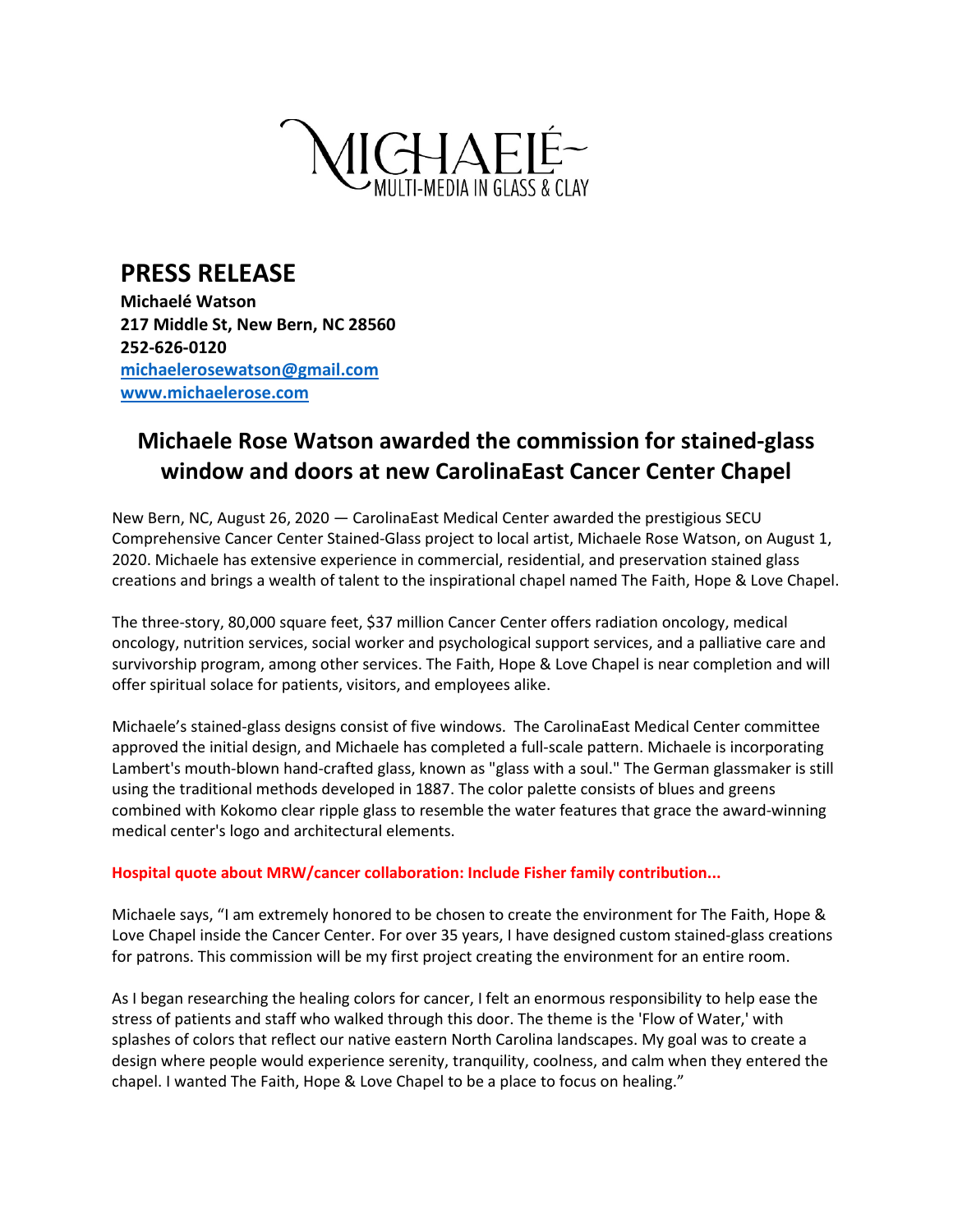

**PRESS RELEASE Michaelé Watson 217 Middle St, New Bern, NC 28560 252-626-0120 [michaelerosewatson@gmail.com](mailto:michaelerosewatson@gmail.com) [www.michaelerose.com](http://www.michaelerose.com/)**

## **Michaele Rose Watson awarded the commission for stained-glass window and doors at new CarolinaEast Cancer Center Chapel**

New Bern, NC, August 26, 2020 — CarolinaEast Medical Center awarded the prestigious SECU Comprehensive Cancer Center Stained-Glass project to local artist, Michaele Rose Watson, on August 1, 2020. Michaele has extensive experience in commercial, residential, and preservation stained glass creations and brings a wealth of talent to the inspirational chapel named The Faith, Hope & Love Chapel.

The three-story, 80,000 square feet, \$37 million Cancer Center offers radiation oncology, medical oncology, nutrition services, social worker and psychological support services, and a palliative care and survivorship program, among other services. The Faith, Hope & Love Chapel is near completion and will offer spiritual solace for patients, visitors, and employees alike.

Michaele's stained-glass designs consist of five windows. The CarolinaEast Medical Center committee approved the initial design, and Michaele has completed a full-scale pattern. Michaele is incorporating Lambert's mouth-blown hand-crafted glass, known as "glass with a soul." The German glassmaker is still using the traditional methods developed in 1887. The color palette consists of blues and greens combined with Kokomo clear ripple glass to resemble the water features that grace the award-winning medical center's logo and architectural elements.

## **Hospital quote about MRW/cancer collaboration: Include Fisher family contribution...**

Michaele says, "I am extremely honored to be chosen to create the environment for The Faith, Hope & Love Chapel inside the Cancer Center. For over 35 years, I have designed custom stained-glass creations for patrons. This commission will be my first project creating the environment for an entire room.

As I began researching the healing colors for cancer, I felt an enormous responsibility to help ease the stress of patients and staff who walked through this door. The theme is the 'Flow of Water,' with splashes of colors that reflect our native eastern North Carolina landscapes. My goal was to create a design where people would experience serenity, tranquility, coolness, and calm when they entered the chapel. I wanted The Faith, Hope & Love Chapel to be a place to focus on healing."